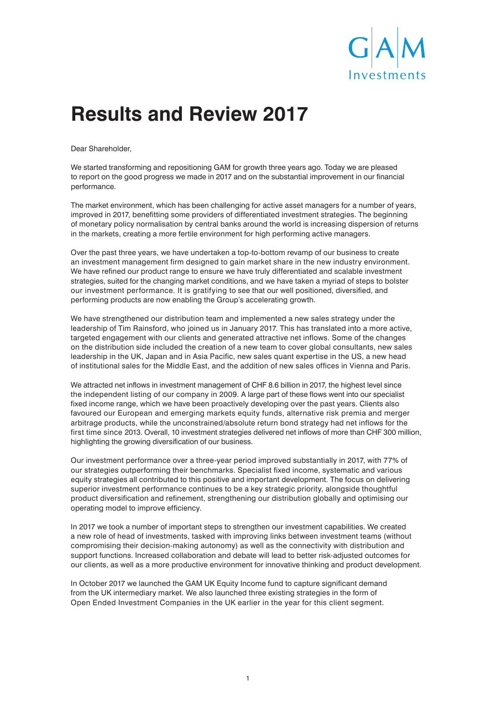

# **Results and Review 2017**

Dear Shareholder,

We started transforming and repositioning GAM for growth three years ago. Today we are pleased to report on the good progress we made in 2017 and on the substantial improvement in our financial performance.

The market environment, which has been challenging for active asset managers for a number of years, improved in 2017, benefitting some providers of differentiated investment strategies. The beginning of monetary policy normalisation by central banks around the world is increasing dispersion of returns in the markets, creating a more fertile environment for high performing active managers.

Over the past three years, we have undertaken a top-to-bottom revamp of our business to create an investment management firm designed to gain market share in the new industry environment. We have refined our product range to ensure we have truly differentiated and scalable investment strategies, suited for the changing market conditions, and we have taken a myriad of steps to bolster our investment performance. It is gratifying to see that our well positioned, diversified, and performing products are now enabling the Group's accelerating growth.

We have strengthened our distribution team and implemented a new sales strategy under the leadership of Tim Rainsford, who joined us in January 2017. This has translated into a more active, targeted engagement with our clients and generated attractive net inflows. Some of the changes on the distribution side included the creation of a new team to cover global consultants, new sales leadership in the UK, Japan and in Asia Pacific, new sales quant expertise in the US, a new head of institutional sales for the Middle East, and the addition of new sales offices in Vienna and Paris.

We attracted net inflows in investment management of CHF 8.6 billion in 2017, the highest level since the independent listing of our company in 2009. A large part of these flows went into our specialist fixed income range, which we have been proactively developing over the past years. Clients also favoured our European and emerging markets equity funds, alternative risk premia and merger arbitrage products, while the unconstrained/absolute return bond strategy had net inflows for the first time since 2013. Overall, 10 investment strategies delivered net inflows of more than CHF 300 million, highlighting the growing diversification of our business.

Our investment performance over a three-year period improved substantially in 2017, with 77% of our strategies outperforming their benchmarks. Specialist fixed income, systematic and various equity strategies all contributed to this positive and important development. The focus on delivering superior investment performance continues to be a key strategic priority, alongside thoughtful product diversification and refinement, strengthening our distribution globally and optimising our operating model to improve efficiency.

In 2017 we took a number of important steps to strengthen our investment capabilities. We created a new role of head of investments, tasked with improving links between investment teams (without compromising their decision-making autonomy) as well as the connectivity with distribution and support functions. Increased collaboration and debate will lead to better risk-adjusted outcomes for our clients, as well as a more productive environment for innovative thinking and product development.

In October 2017 we launched the GAM UK Equity Income fund to capture significant demand from the UK intermediary market. We also launched three existing strategies in the form of Open Ended Investment Companies in the UK earlier in the year for this client segment.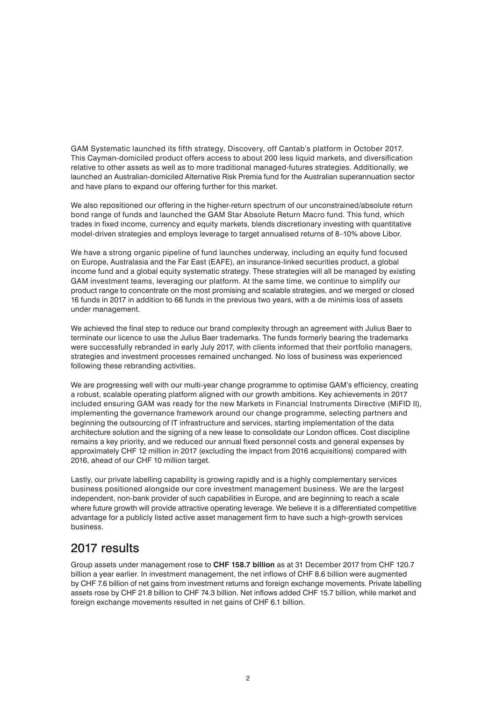GAM Systematic launched its fifth strategy, Discovery, off Cantab's platform in October 2017. This Cayman-domiciled product offers access to about 200 less liquid markets, and diversification relative to other assets as well as to more traditional managed-futures strategies. Additionally, we launched an Australian-domiciled Alternative Risk Premia fund for the Australian superannuation sector and have plans to expand our offering further for this market.

We also repositioned our offering in the higher-return spectrum of our unconstrained/absolute return bond range of funds and launched the GAM Star Absolute Return Macro fund. This fund, which trades in fixed income, currency and equity markets, blends discretionary investing with quantitative model-driven strategies and employs leverage to target annualised returns of 8–10% above Libor.

We have a strong organic pipeline of fund launches underway, including an equity fund focused on Europe, Australasia and the Far East (EAFE), an insurance-linked securities product, a global income fund and a global equity systematic strategy. These strategies will all be managed by existing GAM investment teams, leveraging our platform. At the same time, we continue to simplify our product range to concentrate on the most promising and scalable strategies, and we merged or closed 16 funds in 2017 in addition to 66 funds in the previous two years, with a de minimis loss of assets under management.

We achieved the final step to reduce our brand complexity through an agreement with Julius Baer to terminate our licence to use the Julius Baer trademarks. The funds formerly bearing the trademarks were successfully rebranded in early July 2017, with clients informed that their portfolio managers, strategies and investment processes remained unchanged. No loss of business was experienced following these rebranding activities.

We are progressing well with our multi-year change programme to optimise GAM's efficiency, creating a robust, scalable operating platform aligned with our growth ambitions. Key achievements in 2017 included ensuring GAM was ready for the new Markets in Financial Instruments Directive (MiFID II), implementing the governance framework around our change programme, selecting partners and beginning the outsourcing of IT infrastructure and services, starting implementation of the data architecture solution and the signing of a new lease to consolidate our London offices. Cost discipline remains a key priority, and we reduced our annual fixed personnel costs and general expenses by approximately CHF 12 million in 2017 (excluding the impact from 2016 acquisitions) compared with 2016, ahead of our CHF 10 million target.

Lastly, our private labelling capability is growing rapidly and is a highly complementary services business positioned alongside our core investment management business. We are the largest independent, non-bank provider of such capabilities in Europe, and are beginning to reach a scale where future growth will provide attractive operating leverage. We believe it is a differentiated competitive advantage for a publicly listed active asset management firm to have such a high-growth services business.

#### 2017 results

Group assets under management rose to **CHF 158.7 billion** as at 31 December 2017 from CHF 120.7 billion a year earlier. In investment management, the net inflows of CHF 8.6 billion were augmented by CHF 7.6 billion of net gains from investment returns and foreign exchange movements. Private labelling assets rose by CHF 21.8 billion to CHF 74.3 billion. Net inflows added CHF 15.7 billion, while market and foreign exchange movements resulted in net gains of CHF 6.1 billion.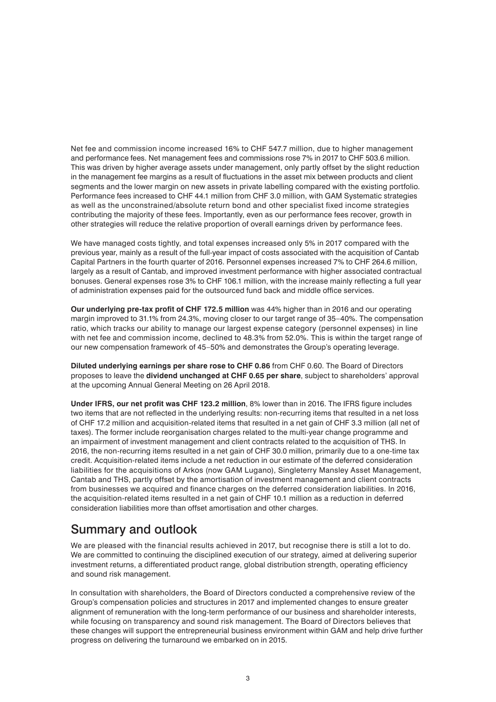Net fee and commission income increased 16% to CHF 547.7 million, due to higher management and performance fees. Net management fees and commissions rose 7% in 2017 to CHF 503.6 million. This was driven by higher average assets under management, only partly offset by the slight reduction in the management fee margins as a result of fluctuations in the asset mix between products and client segments and the lower margin on new assets in private labelling compared with the existing portfolio. Performance fees increased to CHF 44.1 million from CHF 3.0 million, with GAM Systematic strategies as well as the unconstrained/absolute return bond and other specialist fixed income strategies contributing the majority of these fees. Importantly, even as our performance fees recover, growth in other strategies will reduce the relative proportion of overall earnings driven by performance fees.

We have managed costs tightly, and total expenses increased only 5% in 2017 compared with the previous year, mainly as a result of the full-year impact of costs associated with the acquisition of Cantab Capital Partners in the fourth quarter of 2016. Personnel expenses increased 7% to CHF 264.6 million, largely as a result of Cantab, and improved investment performance with higher associated contractual bonuses. General expenses rose 3% to CHF 106.1 million, with the increase mainly reflecting a full year of administration expenses paid for the outsourced fund back and middle office services.

**Our underlying pre-tax profit of CHF 172.5 million** was 44% higher than in 2016 and our operating margin improved to 31.1% from 24.3%, moving closer to our target range of 35–40%. The compensation ratio, which tracks our ability to manage our largest expense category (personnel expenses) in line with net fee and commission income, declined to 48.3% from 52.0%. This is within the target range of our new compensation framework of 45–50% and demonstrates the Group's operating leverage.

**Diluted underlying earnings per share rose to CHF 0.86** from CHF 0.60. The Board of Directors proposes to leave the **dividend unchanged at CHF 0.65 per share**, subject to shareholders' approval at the upcoming Annual General Meeting on 26 April 2018.

**Under IFRS, our net profit was CHF 123.2 million**, 8% lower than in 2016. The IFRS figure includes two items that are not reflected in the underlying results: non-recurring items that resulted in a net loss of CHF 17.2 million and acquisition-related items that resulted in a net gain of CHF 3.3 million (all net of taxes). The former include reorganisation charges related to the multi-year change programme and an impairment of investment management and client contracts related to the acquisition of THS. In 2016, the non-recurring items resulted in a net gain of CHF 30.0 million, primarily due to a one-time tax credit. Acquisition-related items include a net reduction in our estimate of the deferred consideration liabilities for the acquisitions of Arkos (now GAM Lugano), Singleterry Mansley Asset Management, Cantab and THS, partly offset by the amortisation of investment management and client contracts from businesses we acquired and finance charges on the deferred consideration liabilities. In 2016, the acquisition-related items resulted in a net gain of CHF 10.1 million as a reduction in deferred consideration liabilities more than offset amortisation and other charges.

#### Summary and outlook

We are pleased with the financial results achieved in 2017, but recognise there is still a lot to do. We are committed to continuing the disciplined execution of our strategy, aimed at delivering superior investment returns, a differentiated product range, global distribution strength, operating efficiency and sound risk management.

In consultation with shareholders, the Board of Directors conducted a comprehensive review of the Group's compensation policies and structures in 2017 and implemented changes to ensure greater alignment of remuneration with the long-term performance of our business and shareholder interests, while focusing on transparency and sound risk management. The Board of Directors believes that these changes will support the entrepreneurial business environment within GAM and help drive further progress on delivering the turnaround we embarked on in 2015.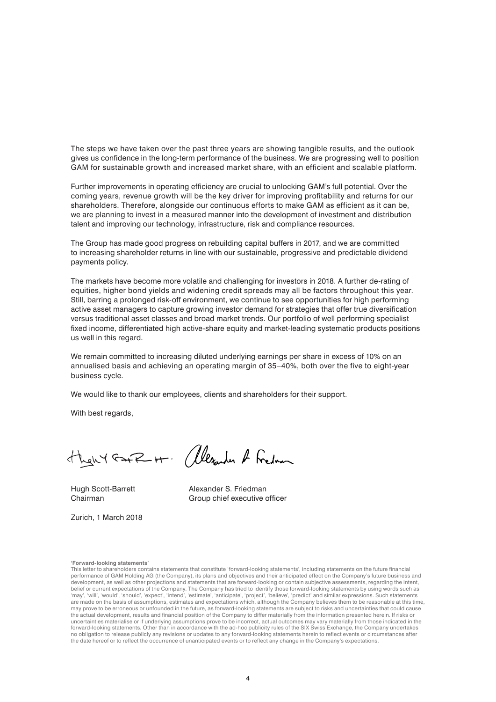The steps we have taken over the past three years are showing tangible results, and the outlook gives us confidence in the long-term performance of the business. We are progressing well to position GAM for sustainable growth and increased market share, with an efficient and scalable platform.

Further improvements in operating efficiency are crucial to unlocking GAM's full potential. Over the coming years, revenue growth will be the key driver for improving profitability and returns for our shareholders. Therefore, alongside our continuous efforts to make GAM as efficient as it can be, we are planning to invest in a measured manner into the development of investment and distribution talent and improving our technology, infrastructure, risk and compliance resources.

The Group has made good progress on rebuilding capital buffers in 2017, and we are committed to increasing shareholder returns in line with our sustainable, progressive and predictable dividend payments policy.

The markets have become more volatile and challenging for investors in 2018. A further de-rating of equities, higher bond yields and widening credit spreads may all be factors throughout this year. Still, barring a prolonged risk-off environment, we continue to see opportunities for high performing active asset managers to capture growing investor demand for strategies that offer true diversification versus traditional asset classes and broad market trends. Our portfolio of well performing specialist fixed income, differentiated high active-share equity and market-leading systematic products positions us well in this regard.

We remain committed to increasing diluted underlying earnings per share in excess of 10% on an annualised basis and achieving an operating margin of 35–40%, both over the five to eight-year business cycle.

We would like to thank our employees, clients and shareholders for their support.

With best regards,

then Y GAFR H. (Alexander & Fredom

Hugh Scott-Barrett Alexander S. Friedman

Zurich, 1 March 2018

Chairman Group chief executive officer

**'Forward-looking statements'**

This letter to shareholders contains statements that constitute 'forward-looking statements', including statements on the future financial performance of GAM Holding AG (the Company), its plans and objectives and their anticipated effect on the Company's future business and development, as well as other projections and statements that are forward-looking or contain subjective assessments, regarding the intent, belief or current expectations of the Company. The Company has tried to identify those forward-looking statements by using words such as 'may', 'will', 'would', 'should', 'expect', 'intend', 'estimate', 'anticipate', 'project', 'believe', 'predict' and similar expressions. Such statements<br>are made on the basis of assumptions, estimates and expectations whic may prove to be erroneous or unfounded in the future, as forward-looking statements are subject to risks and uncertainties that could cause the actual development, results and financial position of the Company to differ materially from the information presented herein. If risks or uncertainties materialise or if underlying assumptions prove to be incorrect, actual outcomes may vary materially from those indicated in the forward-looking statements. Other than in accordance with the ad-hoc publicity rules of the SIX Swiss Exchange, the Company undertakes no obligation to release publicly any revisions or updates to any forward-looking statements herein to reflect events or circumstances after the date hereof or to reflect the occurrence of unanticipated events or to reflect any change in the Company's expectations.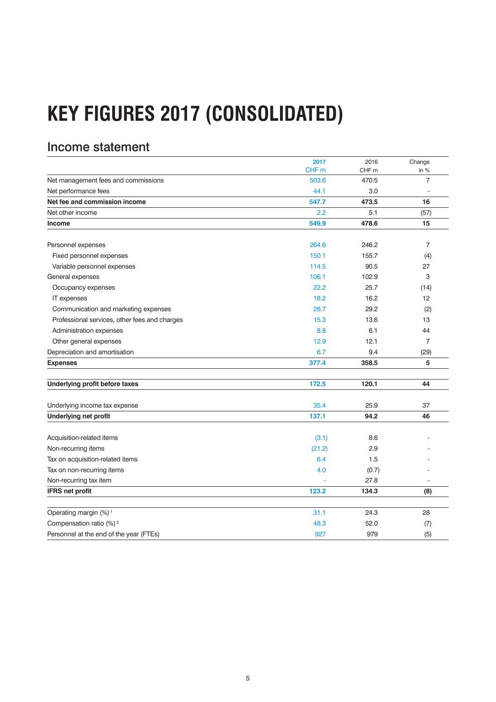# **KEY FIGURES 2017 (CONSOLIDATED)**

# Income statement

|                                               | 2017             | 2016             | Change         |
|-----------------------------------------------|------------------|------------------|----------------|
|                                               | CHF <sub>m</sub> | CHF <sub>m</sub> | in %           |
| Net management fees and commissions           | 503.6            | 470.5            | $\overline{7}$ |
| Net performance fees                          | 44.1             | 3.0              |                |
| Net fee and commission income                 | 547.7            | 473.5            | 16             |
| Net other income                              | 2.2              | 5.1              | (57)           |
| <b>Income</b>                                 | 549.9            | 478.6            | 15             |
| Personnel expenses                            | 264.6            | 246.2            | 7              |
| Fixed personnel expenses                      | 150.1            | 155.7            | (4)            |
| Variable personnel expenses                   | 114.5            | 90.5             | 27             |
| General expenses                              | 106.1            | 102.9            | 3              |
| Occupancy expenses                            | 22.2             | 25.7             | (14)           |
| IT expenses                                   | 18.2             | 16.2             | 12             |
| Communication and marketing expenses          | 28.7             | 29.2             | (2)            |
| Professional services, other fees and charges | 15.3             | 13.6             | 13             |
| Administration expenses                       | 8.8              | 6.1              | 44             |
| Other general expenses                        | 12.9             | 12.1             | $\overline{7}$ |
| Depreciation and amortisation                 | 6.7              | 9.4              | (29)           |
| <b>Expenses</b>                               | 377.4            | 358.5            | 5              |
| Underlying profit before taxes                | 172.5            | 120.1            | 44             |
| Underlying income tax expense                 | 35.4             | 25.9             | 37             |
| <b>Underlying net profit</b>                  | 137.1            | 94.2             | 46             |
| Acquisition-related items                     | (3.1)            | 8.6              |                |
| Non-recurring items                           | (21.2)           | 2.9              |                |
| Tax on acquisition-related items              | 6.4              | 1.5              |                |
| Tax on non-recurring items                    | 4.0              | (0.7)            |                |
| Non-recurring tax item                        |                  | 27.8             |                |
| <b>IFRS net profit</b>                        | 123.2            | 134.3            | (8)            |
| Operating margin (%) <sup>1</sup>             | 31.1             | 24.3             | 28             |
| Compensation ratio (%) <sup>2</sup>           | 48.3             | 52.0             | (7)            |
| Personnel at the end of the year (FTEs)       | 927              | 979              | (5)            |